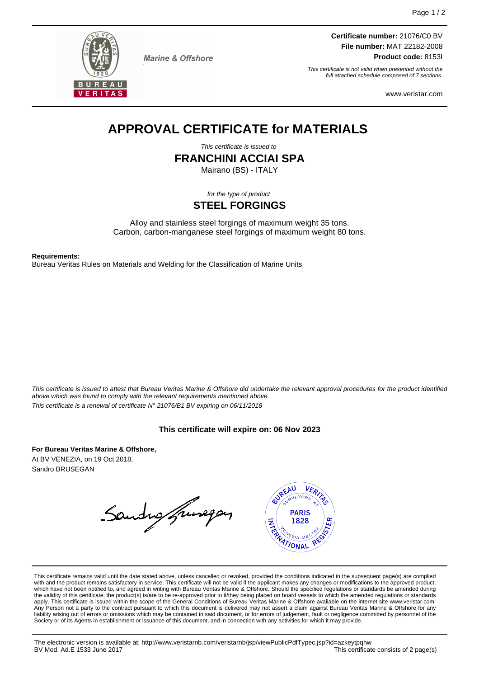

**Marine & Offshore** 

**Certificate number:** 21076/C0 BV **File number:** MAT 22182-2008 **Product code:** 8153I

This certificate is not valid when presented without the full attached schedule composed of 7 sections

www.veristar.com

# **APPROVAL CERTIFICATE for MATERIALS**

This certificate is issued to

**FRANCHINI ACCIAI SPA**

Mairano (BS) - ITALY

for the type of product

### **STEEL FORGINGS**

Alloy and stainless steel forgings of maximum weight 35 tons. Carbon, carbon-manganese steel forgings of maximum weight 80 tons.

**Requirements:**

Bureau Veritas Rules on Materials and Welding for the Classification of Marine Units

This certificate is issued to attest that Bureau Veritas Marine & Offshore did undertake the relevant approval procedures for the product identified above which was found to comply with the relevant requirements mentioned above. This certificate is a renewal of certificate N° 21076/B1 BV expiring on 06/11/2018

#### **This certificate will expire on: 06 Nov 2023**

**For Bureau Veritas Marine & Offshore,** At BV VENEZIA, on 19 Oct 2018, Sandro BRUSEGAN

Sandro francopan



This certificate remains valid until the date stated above, unless cancelled or revoked, provided the conditions indicated in the subsequent page(s) are complied with and the product remains satisfactory in service. This certificate will not be valid if the applicant makes any changes or modifications to the approved product, which have not been notified to, and agreed in writing with Bureau Veritas Marine & Offshore. Should the specified regulations or standards be amended during the validity of this certificate, the product(s) is/are to be re-approved prior to it/they being placed on board vessels to which the amended regulations or standards apply. This certificate is issued within the scope of the General Conditions of Bureau Veritas Marine & Offshore available on the internet site www.veristar.com. Any Person not a party to the contract pursuant to which this document is delivered may not assert a claim against Bureau Veritas Marine & Offshore for any liability arising out of errors or omissions which may be contained in said document, or for errors of judgement, fault or negligence committed by personnel of the Society or of its Agents in establishment or issuance of this document, and in connection with any activities for which it may provide.